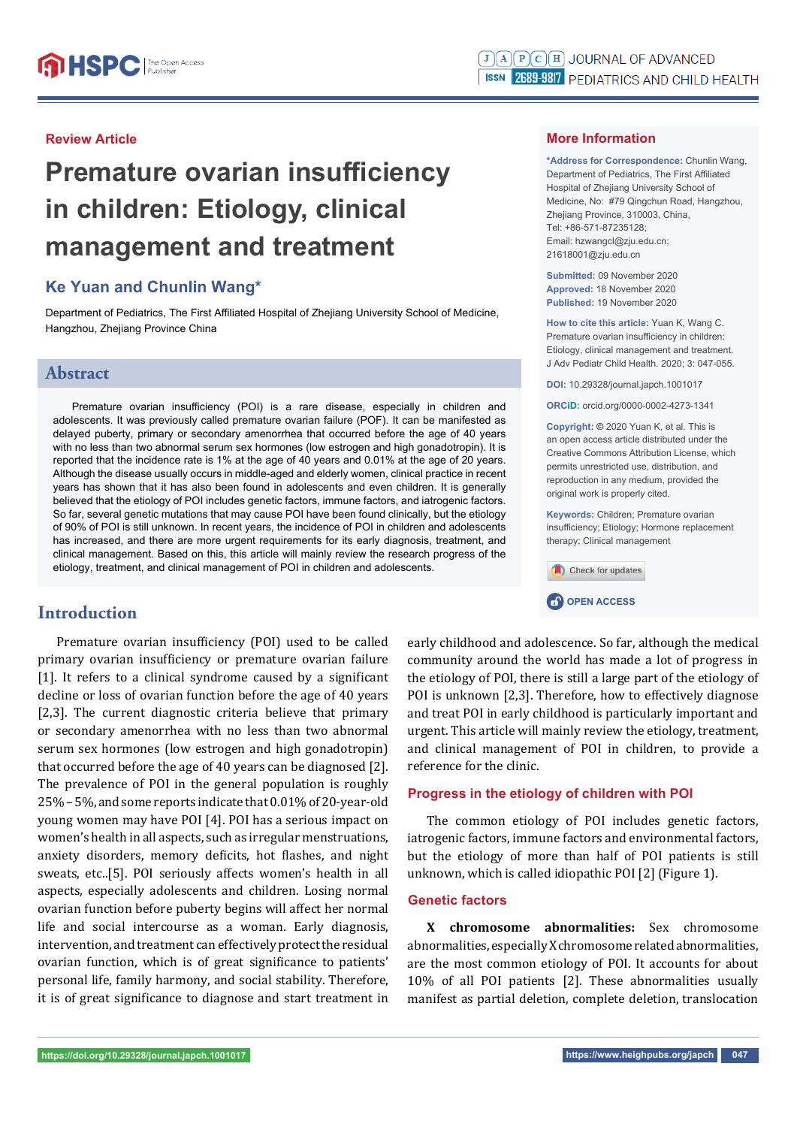## **Review Article**

# **Premature ovarian insufficiency in children: Etiology, clinical management and treatment**

# **Ke Yuan and Chunlin Wang\***

Department of Pediatrics, The First Affiliated Hospital of Zhejiang University School of Medicine, Hangzhou, Zhejiang Province China

## **Abstract**

Premature ovarian insufficiency (POI) is a rare disease, especially in children and adolescents. It was previously called premature ovarian failure (POF). It can be manifested as delayed puberty, primary or secondary amenorrhea that occurred before the age of 40 years with no less than two abnormal serum sex hormones (low estrogen and high gonadotropin). It is reported that the incidence rate is 1% at the age of 40 years and 0.01% at the age of 20 years. Although the disease usually occurs in middle-aged and elderly women, clinical practice in recent years has shown that it has also been found in adolescents and even children. It is generally believed that the etiology of POI includes genetic factors, immune factors, and iatrogenic factors. So far, several genetic mutations that may cause POI have been found clinically, but the etiology of 90% of POI is still unknown. In recent years, the incidence of POI in children and adolescents has increased, and there are more urgent requirements for its early diagnosis, treatment, and clinical management. Based on this, this article will mainly review the research progress of the etiology, treatment, and clinical management of POI in children and adolescents.

# **Introduction**

Premature ovarian insufficiency (POI) used to be called primary ovarian insufficiency or premature ovarian failure  $[1]$ . It refers to a clinical syndrome caused by a significant decline or loss of ovarian function before the age of 40 years [2,3]. The current diagnostic criteria believe that primary or secondary amenorrhea with no less than two abnormal serum sex hormones (low estrogen and high gonadotropin) that occurred before the age of 40 years can be diagnosed [2]. The prevalence of POI in the general population is roughly 25% – 5%, and some reports indicate that 0.01% of 20-year-old young women may have POI [4]. POI has a serious impact on women's health in all aspects, such as irregular menstruations, anxiety disorders, memory deficits, hot flashes, and night sweats, etc..[5]. POI seriously affects women's health in all aspects, especially adolescents and children. Losing normal ovarian function before puberty begins will affect her normal life and social intercourse as a woman. Early diagnosis, intervention, and treatment can effectively protect the residual ovarian function, which is of great significance to patients' personal life, family harmony, and social stability. Therefore, it is of great significance to diagnose and start treatment in

## **More Information**

**\*Address for Correspondence:** Chunlin Wang, Department of Pediatrics, The First Affiliated Hospital of Zhejiang University School of Medicine, No: #79 Qingchun Road, Hangzhou, Zhejiang Province, 310003, China, Tel: +86-571-87235128; Email: hzwangcl@zju.edu.cn; 21618001@zju.edu.cn

**Submitted:** 09 November 2020 **Approved:** 18 November 2020 **Published:** 19 November 2020

**How to cite this article:** Yuan K, Wang C. Premature ovarian insufficiency in children: Etiology, clinical management and treatment. J Adv Pediatr Child Health. 2020; 3: 047-055.

**DOI:** 10.29328/journal.japch.1001017

**ORCiD:** orcid.org/0000-0002-4273-1341

**Copyright: ©** 2020 Yuan K, et al. This is an open access article distributed under the Creative Commons Attribution License, which permits unrestricted use, distribution, and reproduction in any medium, provided the original work is properly cited.

**Keywords:** Children; Premature ovarian insufficiency; Etiology; Hormone replacement therapy; Clinical management



early childhood and adolescence. So far, although the medical community around the world has made a lot of progress in the etiology of POI, there is still a large part of the etiology of POI is unknown [2,3]. Therefore, how to effectively diagnose and treat POI in early childhood is particularly important and urgent. This article will mainly review the etiology, treatment, and clinical management of POI in children, to provide a reference for the clinic.

## **Progress in the etiology of children with POI**

The common etiology of POI includes genetic factors, iatrogenic factors, immune factors and environmental factors, but the etiology of more than half of POI patients is still unknown, which is called idiopathic POI [2] (Figure 1).

## **Genetic factors**

**X chromosome abnormalities:** Sex chromosome abnormalities, especially X chromosome related abnormalities, are the most common etiology of POI. It accounts for about 10% of all POI patients [2]. These abnormalities usually manifest as partial deletion, complete deletion, translocation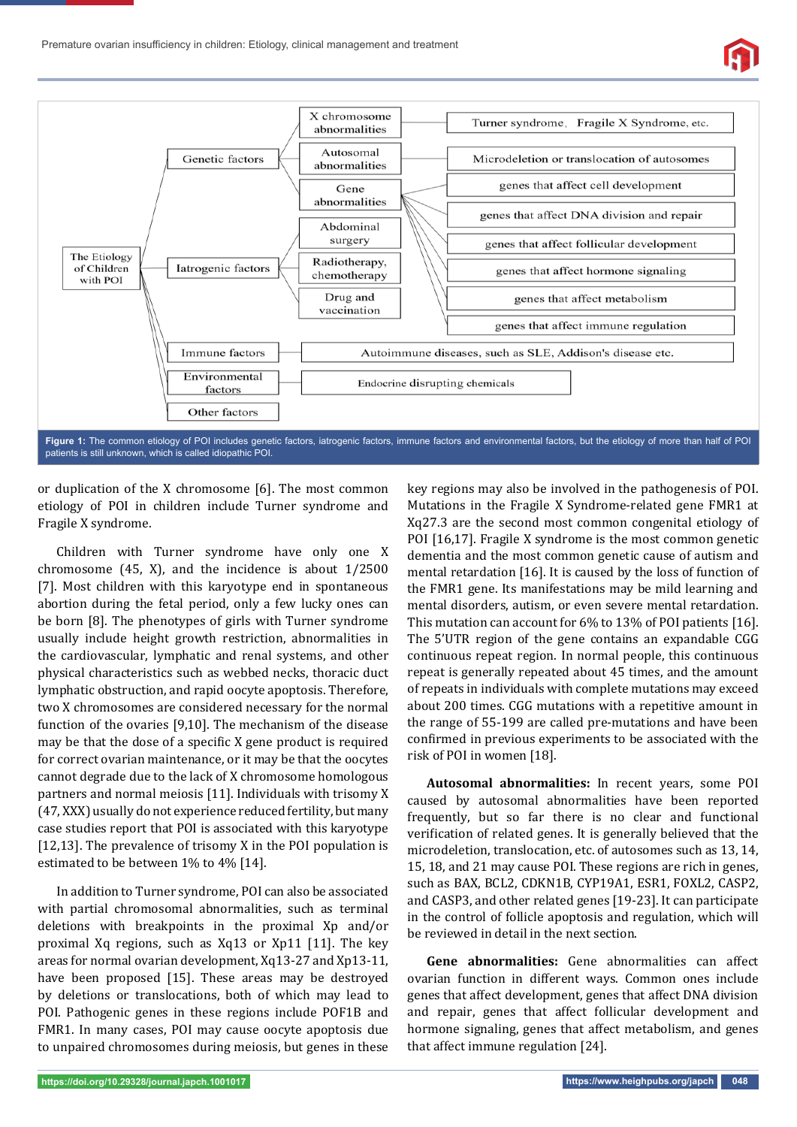

patients is still unknown, which is called idiopathic POI.

or duplication of the X chromosome [6]. The most common etiology of POI in children include Turner syndrome and Fragile X syndrome.

Children with Turner syndrome have only one X chromosome (45, X), and the incidence is about 1/2500 [7]. Most children with this karyotype end in spontaneous abortion during the fetal period, only a few lucky ones can be born [8]. The phenotypes of girls with Turner syndrome usually include height growth restriction, abnormalities in the cardiovascular, lymphatic and renal systems, and other physical characteristics such as webbed necks, thoracic duct lymphatic obstruction, and rapid oocyte apoptosis. Therefore, two X chromosomes are considered necessary for the normal function of the ovaries [9,10]. The mechanism of the disease may be that the dose of a specific X gene product is required for correct ovarian maintenance, or it may be that the oocytes cannot degrade due to the lack of X chromosome homologous partners and normal meiosis [11]. Individuals with trisomy X (47, XXX) usually do not experience reduced fertility, but many case studies report that POI is associated with this karyotype [12,13]. The prevalence of trisomy X in the POI population is estimated to be between 1% to 4% [14].

In addition to Turner syndrome, POI can also be associated with partial chromosomal abnormalities, such as terminal deletions with breakpoints in the proximal Xp and/or proximal Xq regions, such as Xq13 or Xp11 [11]. The key areas for normal ovarian development, Xq13-27 and Xp13-11, have been proposed [15]. These areas may be destroyed by deletions or translocations, both of which may lead to POI. Pathogenic genes in these regions include POF1B and FMR1. In many cases, POI may cause oocyte apoptosis due to unpaired chromosomes during meiosis, but genes in these

key regions may also be involved in the pathogenesis of POI. Mutations in the Fragile X Syndrome-related gene FMR1 at Xq27.3 are the second most common congenital etiology of POI [16,17]. Fragile X syndrome is the most common genetic dementia and the most common genetic cause of autism and mental retardation [16]. It is caused by the loss of function of the FMR1 gene. Its manifestations may be mild learning and mental disorders, autism, or even severe mental retardation. This mutation can account for 6% to 13% of POI patients [16]. The 5'UTR region of the gene contains an expandable CGG continuous repeat region. In normal people, this continuous repeat is generally repeated about 45 times, and the amount of repeats in individuals with complete mutations may exceed about 200 times. CGG mutations with a repetitive amount in the range of 55-199 are called pre-mutations and have been confirmed in previous experiments to be associated with the risk of POI in women [18].

**Autosomal abnormalities:** In recent years, some POI caused by autosomal abnormalities have been reported frequently, but so far there is no clear and functional verification of related genes. It is generally believed that the microdeletion, translocation, etc. of autosomes such as 13, 14, 15, 18, and 21 may cause POI. These regions are rich in genes, such as BAX, BCL2, CDKN1B, CYP19A1, ESR1, FOXL2, CASP2, and CASP3, and other related genes [19-23]. It can participate in the control of follicle apoptosis and regulation, which will be reviewed in detail in the next section.

**Gene abnormalities:** Gene abnormalities can affect ovarian function in different ways. Common ones include genes that affect development, genes that affect DNA division and repair, genes that affect follicular development and hormone signaling, genes that affect metabolism, and genes that affect immune regulation [24].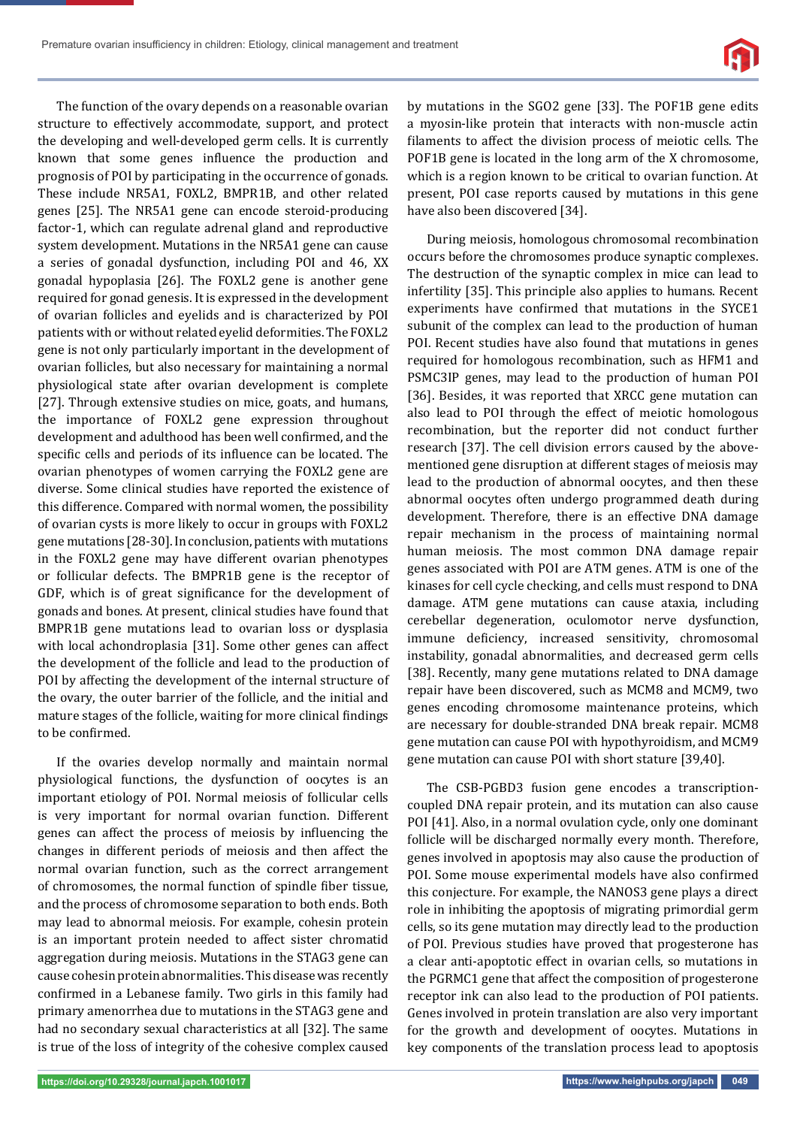Premature ovarian insufficiency in children: Etiology, clinical management and treatment



The function of the ovary depends on a reasonable ovarian structure to effectively accommodate, support, and protect the developing and well-developed germ cells. It is currently known that some genes influence the production and prognosis of POI by participating in the occurrence of gonads. These include NR5A1, FOXL2, BMPR1B, and other related genes [25]. The NR5A1 gene can encode steroid-producing factor-1, which can regulate adrenal gland and reproductive system development. Mutations in the NR5A1 gene can cause a series of gonadal dysfunction, including POI and 46, XX gonadal hypoplasia [26]. The FOXL2 gene is another gene required for gonad genesis. It is expressed in the development of ovarian follicles and eyelids and is characterized by POI patients with or without related eyelid deformities. The FOXL2 gene is not only particularly important in the development of ovarian follicles, but also necessary for maintaining a normal physiological state after ovarian development is complete [27]. Through extensive studies on mice, goats, and humans, the importance of FOXL2 gene expression throughout development and adulthood has been well confirmed, and the specific cells and periods of its influence can be located. The ovarian phenotypes of women carrying the FOXL2 gene are diverse. Some clinical studies have reported the existence of this difference. Compared with normal women, the possibility of ovarian cysts is more likely to occur in groups with FOXL2 gene mutations [28-30]. In conclusion, patients with mutations in the FOXL2 gene may have different ovarian phenotypes or follicular defects. The BMPR1B gene is the receptor of GDF, which is of great significance for the development of gonads and bones. At present, clinical studies have found that BMPR1B gene mutations lead to ovarian loss or dysplasia with local achondroplasia [31]. Some other genes can affect the development of the follicle and lead to the production of POI by affecting the development of the internal structure of the ovary, the outer barrier of the follicle, and the initial and mature stages of the follicle, waiting for more clinical findings to be confirmed.

If the ovaries develop normally and maintain normal physiological functions, the dysfunction of oocytes is an important etiology of POI. Normal meiosis of follicular cells is very important for normal ovarian function. Different genes can affect the process of meiosis by influencing the changes in different periods of meiosis and then affect the normal ovarian function, such as the correct arrangement of chromosomes, the normal function of spindle fiber tissue, and the process of chromosome separation to both ends. Both may lead to abnormal meiosis. For example, cohesin protein is an important protein needed to affect sister chromatid aggregation during meiosis. Mutations in the STAG3 gene can cause cohesin protein abnormalities. This disease was recently confirmed in a Lebanese family. Two girls in this family had primary amenorrhea due to mutations in the STAG3 gene and had no secondary sexual characteristics at all [32]. The same is true of the loss of integrity of the cohesive complex caused by mutations in the SGO2 gene [33]. The POF1B gene edits a myosin-like protein that interacts with non-muscle actin filaments to affect the division process of meiotic cells. The POF1B gene is located in the long arm of the X chromosome, which is a region known to be critical to ovarian function. At present, POI case reports caused by mutations in this gene have also been discovered [34].

During meiosis, homologous chromosomal recombination occurs before the chromosomes produce synaptic complexes. The destruction of the synaptic complex in mice can lead to infertility [35]. This principle also applies to humans. Recent experiments have confirmed that mutations in the SYCE1 subunit of the complex can lead to the production of human POI. Recent studies have also found that mutations in genes required for homologous recombination, such as HFM1 and PSMC3IP genes, may lead to the production of human POI [36]. Besides, it was reported that XRCC gene mutation can also lead to POI through the effect of meiotic homologous recombination, but the reporter did not conduct further research [37]. The cell division errors caused by the abovementioned gene disruption at different stages of meiosis may lead to the production of abnormal oocytes, and then these abnormal oocytes often undergo programmed death during development. Therefore, there is an effective DNA damage repair mechanism in the process of maintaining normal human meiosis. The most common DNA damage repair genes associated with POI are ATM genes. ATM is one of the kinases for cell cycle checking, and cells must respond to DNA damage. ATM gene mutations can cause ataxia, including cerebellar degeneration, oculomotor nerve dysfunction, immune deficiency, increased sensitivity, chromosomal instability, gonadal abnormalities, and decreased germ cells [38]. Recently, many gene mutations related to DNA damage repair have been discovered, such as MCM8 and MCM9, two genes encoding chromosome maintenance proteins, which are necessary for double-stranded DNA break repair. MCM8 gene mutation can cause POI with hypothyroidism, and MCM9 gene mutation can cause POI with short stature [39,40].

The CSB-PGBD3 fusion gene encodes a transcriptioncoupled DNA repair protein, and its mutation can also cause POI [41]. Also, in a normal ovulation cycle, only one dominant follicle will be discharged normally every month. Therefore, genes involved in apoptosis may also cause the production of POI. Some mouse experimental models have also confirmed this conjecture. For example, the NANOS3 gene plays a direct role in inhibiting the apoptosis of migrating primordial germ cells, so its gene mutation may directly lead to the production of POI. Previous studies have proved that progesterone has a clear anti-apoptotic effect in ovarian cells, so mutations in the PGRMC1 gene that affect the composition of progesterone receptor ink can also lead to the production of POI patients. Genes involved in protein translation are also very important for the growth and development of oocytes. Mutations in key components of the translation process lead to apoptosis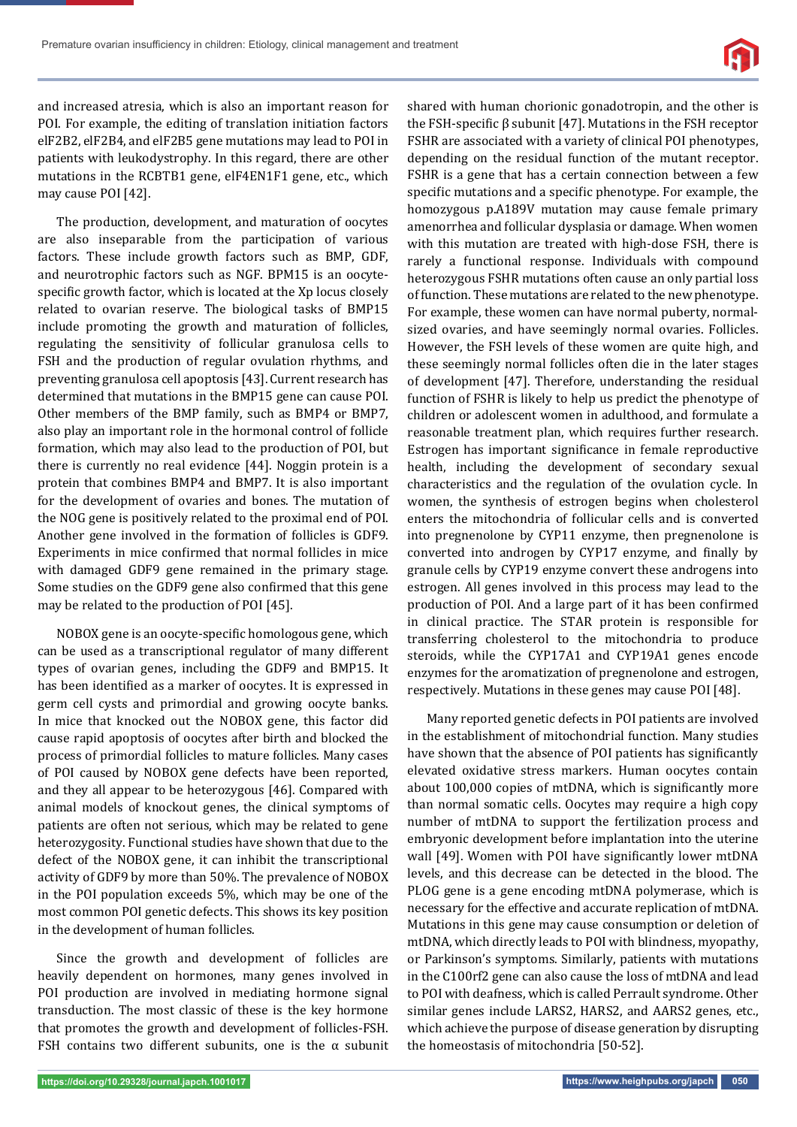

and increased atresia, which is also an important reason for POI. For example, the editing of translation initiation factors elF2B2, elF2B4, and elF2B5 gene mutations may lead to POI in patients with leukodystrophy. In this regard, there are other mutations in the RCBTB1 gene, elF4EN1F1 gene, etc., which may cause POI [42].

The production, development, and maturation of oocytes are also inseparable from the participation of various factors. These include growth factors such as BMP, GDF, and neurotrophic factors such as NGF. BPM15 is an oocytespecific growth factor, which is located at the Xp locus closely related to ovarian reserve. The biological tasks of BMP15 include promoting the growth and maturation of follicles, regulating the sensitivity of follicular granulosa cells to FSH and the production of regular ovulation rhythms, and preventing granulosa cell apoptosis [43]. Current research has determined that mutations in the BMP15 gene can cause POI. Other members of the BMP family, such as BMP4 or BMP7, also play an important role in the hormonal control of follicle formation, which may also lead to the production of POI, but there is currently no real evidence [44]. Noggin protein is a protein that combines BMP4 and BMP7. It is also important for the development of ovaries and bones. The mutation of the NOG gene is positively related to the proximal end of POI. Another gene involved in the formation of follicles is GDF9. Experiments in mice confirmed that normal follicles in mice with damaged GDF9 gene remained in the primary stage. Some studies on the GDF9 gene also confirmed that this gene may be related to the production of POI [45].

NOBOX gene is an oocyte-specific homologous gene, which can be used as a transcriptional regulator of many different types of ovarian genes, including the GDF9 and BMP15. It has been identified as a marker of oocytes. It is expressed in germ cell cysts and primordial and growing oocyte banks. In mice that knocked out the NOBOX gene, this factor did cause rapid apoptosis of oocytes after birth and blocked the process of primordial follicles to mature follicles. Many cases of POI caused by NOBOX gene defects have been reported, and they all appear to be heterozygous [46]. Compared with animal models of knockout genes, the clinical symptoms of patients are often not serious, which may be related to gene heterozygosity. Functional studies have shown that due to the defect of the NOBOX gene, it can inhibit the transcriptional activity of GDF9 by more than 50%. The prevalence of NOBOX in the POI population exceeds 5%, which may be one of the most common POI genetic defects. This shows its key position in the development of human follicles.

Since the growth and development of follicles are heavily dependent on hormones, many genes involved in POI production are involved in mediating hormone signal transduction. The most classic of these is the key hormone that promotes the growth and development of follicles-FSH. FSH contains two different subunits, one is the  $\alpha$  subunit shared with human chorionic gonadotropin, and the other is the FSH-specific  $\beta$  subunit [47]. Mutations in the FSH receptor FSHR are associated with a variety of clinical POI phenotypes, depending on the residual function of the mutant receptor. FSHR is a gene that has a certain connection between a few specific mutations and a specific phenotype. For example, the homozygous p.A189V mutation may cause female primary amenorrhea and follicular dysplasia or damage. When women with this mutation are treated with high-dose FSH, there is rarely a functional response. Individuals with compound heterozygous FSHR mutations often cause an only partial loss of function. These mutations are related to the new phenotype. For example, these women can have normal puberty, normalsized ovaries, and have seemingly normal ovaries. Follicles. However, the FSH levels of these women are quite high, and these seemingly normal follicles often die in the later stages of development [47]. Therefore, understanding the residual function of FSHR is likely to help us predict the phenotype of children or adolescent women in adulthood, and formulate a reasonable treatment plan, which requires further research. Estrogen has important significance in female reproductive health, including the development of secondary sexual characteristics and the regulation of the ovulation cycle. In women, the synthesis of estrogen begins when cholesterol enters the mitochondria of follicular cells and is converted into pregnenolone by CYP11 enzyme, then pregnenolone is converted into androgen by CYP17 enzyme, and finally by granule cells by CYP19 enzyme convert these androgens into estrogen. All genes involved in this process may lead to the production of POI. And a large part of it has been confirmed in clinical practice. The STAR protein is responsible for transferring cholesterol to the mitochondria to produce steroids, while the CYP17A1 and CYP19A1 genes encode enzymes for the aromatization of pregnenolone and estrogen, respectively. Mutations in these genes may cause POI [48].

Many reported genetic defects in POI patients are involved in the establishment of mitochondrial function. Many studies have shown that the absence of POI patients has significantly elevated oxidative stress markers. Human oocytes contain about 100,000 copies of mtDNA, which is significantly more than normal somatic cells. Oocytes may require a high copy number of mtDNA to support the fertilization process and embryonic development before implantation into the uterine wall [49]. Women with POI have significantly lower mtDNA levels, and this decrease can be detected in the blood. The PLOG gene is a gene encoding mtDNA polymerase, which is necessary for the effective and accurate replication of mtDNA. Mutations in this gene may cause consumption or deletion of mtDNA, which directly leads to POI with blindness, myopathy, or Parkinson's symptoms. Similarly, patients with mutations in the C100rf2 gene can also cause the loss of mtDNA and lead to POI with deafness, which is called Perrault syndrome. Other similar genes include LARS2, HARS2, and AARS2 genes, etc., which achieve the purpose of disease generation by disrupting the homeostasis of mitochondria [50-52].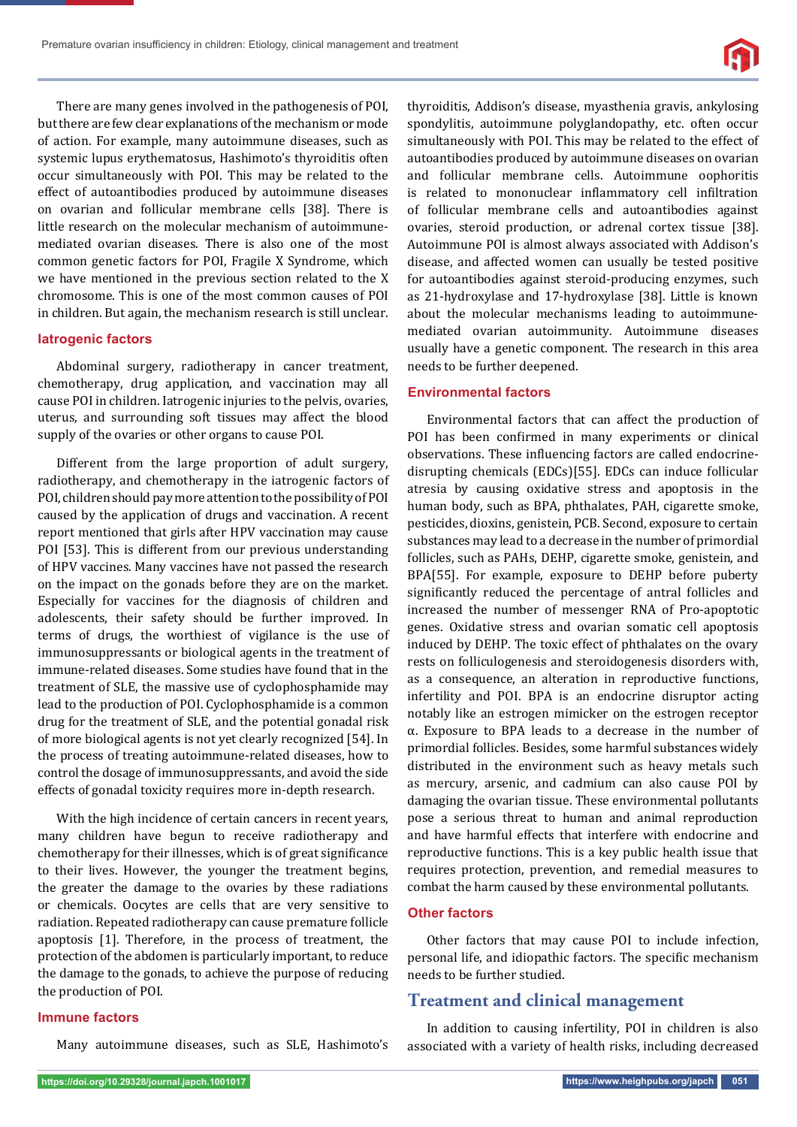

There are many genes involved in the pathogenesis of POI, but there are few clear explanations of the mechanism or mode of action. For example, many autoimmune diseases, such as systemic lupus erythematosus, Hashimoto's thyroiditis often occur simultaneously with POI. This may be related to the effect of autoantibodies produced by autoimmune diseases on ovarian and follicular membrane cells [38]. There is little research on the molecular mechanism of autoimmunemediated ovarian diseases. There is also one of the most common genetic factors for POI, Fragile X Syndrome, which we have mentioned in the previous section related to the X chromosome. This is one of the most common causes of POI in children. But again, the mechanism research is still unclear.

#### **Iatrogenic factors**

Abdominal surgery, radiotherapy in cancer treatment, chemotherapy, drug application, and vaccination may all cause POI in children. Iatrogenic injuries to the pelvis, ovaries, uterus, and surrounding soft tissues may affect the blood supply of the ovaries or other organs to cause POI.

Different from the large proportion of adult surgery, radiotherapy, and chemotherapy in the iatrogenic factors of POI, children should pay more attention to the possibility of POI caused by the application of drugs and vaccination. A recent report mentioned that girls after HPV vaccination may cause POI [53]. This is different from our previous understanding of HPV vaccines. Many vaccines have not passed the research on the impact on the gonads before they are on the market. Especially for vaccines for the diagnosis of children and adolescents, their safety should be further improved. In terms of drugs, the worthiest of vigilance is the use of immunosuppressants or biological agents in the treatment of immune-related diseases. Some studies have found that in the treatment of SLE, the massive use of cyclophosphamide may lead to the production of POI. Cyclophosphamide is a common drug for the treatment of SLE, and the potential gonadal risk of more biological agents is not yet clearly recognized [54]. In the process of treating autoimmune-related diseases, how to control the dosage of immunosuppressants, and avoid the side effects of gonadal toxicity requires more in-depth research.

With the high incidence of certain cancers in recent years, many children have begun to receive radiotherapy and chemotherapy for their illnesses, which is of great significance to their lives. However, the younger the treatment begins, the greater the damage to the ovaries by these radiations or chemicals. Oocytes are cells that are very sensitive to radiation. Repeated radiotherapy can cause premature follicle apoptosis [1]. Therefore, in the process of treatment, the protection of the abdomen is particularly important, to reduce the damage to the gonads, to achieve the purpose of reducing the production of POI.

## thyroiditis, Addison's disease, myasthenia gravis, ankylosing spondylitis, autoimmune polyglandopathy, etc. often occur simultaneously with POI. This may be related to the effect of autoantibodies produced by autoimmune diseases on ovarian and follicular membrane cells. Autoimmune oophoritis is related to mononuclear inflammatory cell infiltration of follicular membrane cells and autoantibodies against ovaries, steroid production, or adrenal cortex tissue [38]. Autoimmune POI is almost always associated with Addison's disease, and affected women can usually be tested positive for autoantibodies against steroid-producing enzymes, such as 21-hydroxylase and 17-hydroxylase [38]. Little is known about the molecular mechanisms leading to autoimmunemediated ovarian autoimmunity. Autoimmune diseases usually have a genetic component. The research in this area needs to be further deepened.

#### **Environmental factors**

Environmental factors that can affect the production of POI has been confirmed in many experiments or clinical observations. These influencing factors are called endocrinedisrupting chemicals (EDCs)[55]. EDCs can induce follicular atresia by causing oxidative stress and apoptosis in the human body, such as BPA, phthalates, PAH, cigarette smoke, pesticides, dioxins, genistein, PCB. Second, exposure to certain substances may lead to a decrease in the number of primordial follicles, such as PAHs, DEHP, cigarette smoke, genistein, and BPA[55]. For example, exposure to DEHP before puberty significantly reduced the percentage of antral follicles and increased the number of messenger RNA of Pro-apoptotic genes. Oxidative stress and ovarian somatic cell apoptosis induced by DEHP. The toxic effect of phthalates on the ovary rests on folliculogenesis and steroidogenesis disorders with, as a consequence, an alteration in reproductive functions, infertility and POI. BPA is an endocrine disruptor acting notably like an estrogen mimicker on the estrogen receptor α. Exposure to BPA leads to a decrease in the number of primordial follicles. Besides, some harmful substances widely distributed in the environment such as heavy metals such as mercury, arsenic, and cadmium can also cause POI by damaging the ovarian tissue. These environmental pollutants pose a serious threat to human and animal reproduction and have harmful effects that interfere with endocrine and reproductive functions. This is a key public health issue that requires protection, prevention, and remedial measures to combat the harm caused by these environmental pollutants.

## **Other factors**

Other factors that may cause POI to include infection, personal life, and idiopathic factors. The specific mechanism needs to be further studied.

# **Treatment and clinical management**

## In addition to causing infertility, POI in children is also associated with a variety of health risks, including decreased

## **Immune factors**

Many autoimmune diseases, such as SLE, Hashimoto's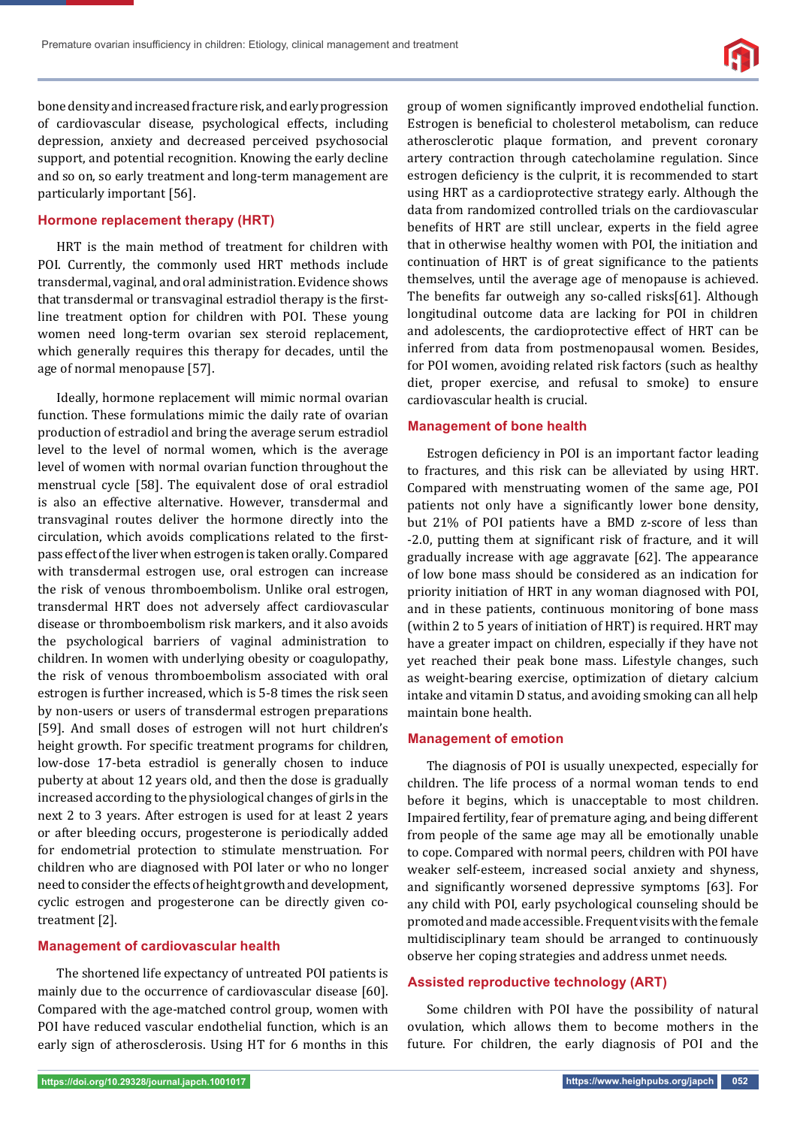

bone density and increased fracture risk, and early progression of cardiovascular disease, psychological effects, including depression, anxiety and decreased perceived psychosocial support, and potential recognition. Knowing the early decline and so on, so early treatment and long-term management are particularly important [56].

## **Hormone replacement therapy (HRT)**

HRT is the main method of treatment for children with POI. Currently, the commonly used HRT methods include transdermal, vaginal, and oral administration. Evidence shows that transdermal or transvaginal estradiol therapy is the firstline treatment option for children with POI. These young women need long-term ovarian sex steroid replacement, which generally requires this therapy for decades, until the age of normal menopause [57].

Ideally, hormone replacement will mimic normal ovarian function. These formulations mimic the daily rate of ovarian production of estradiol and bring the average serum estradiol level to the level of normal women, which is the average level of women with normal ovarian function throughout the menstrual cycle [58]. The equivalent dose of oral estradiol is also an effective alternative. However, transdermal and transvaginal routes deliver the hormone directly into the circulation, which avoids complications related to the firstpass effect of the liver when estrogen is taken orally. Compared with transdermal estrogen use, oral estrogen can increase the risk of venous thromboembolism. Unlike oral estrogen, transdermal HRT does not adversely affect cardiovascular disease or thromboembolism risk markers, and it also avoids the psychological barriers of vaginal administration to children. In women with underlying obesity or coagulopathy, the risk of venous thromboembolism associated with oral estrogen is further increased, which is 5-8 times the risk seen by non-users or users of transdermal estrogen preparations [59]. And small doses of estrogen will not hurt children's height growth. For specific treatment programs for children, low-dose 17-beta estradiol is generally chosen to induce puberty at about 12 years old, and then the dose is gradually increased according to the physiological changes of girls in the next 2 to 3 years. After estrogen is used for at least 2 years or after bleeding occurs, progesterone is periodically added for endometrial protection to stimulate menstruation. For children who are diagnosed with POI later or who no longer need to consider the effects of height growth and development, cyclic estrogen and progesterone can be directly given cotreatment [2].

## **Management of cardiovascular health**

The shortened life expectancy of untreated POI patients is mainly due to the occurrence of cardiovascular disease [60]. Compared with the age-matched control group, women with POI have reduced vascular endothelial function, which is an early sign of atherosclerosis. Using HT for 6 months in this

group of women significantly improved endothelial function. Estrogen is beneficial to cholesterol metabolism, can reduce atherosclerotic plaque formation, and prevent coronary artery contraction through catecholamine regulation. Since estrogen deficiency is the culprit, it is recommended to start using HRT as a cardioprotective strategy early. Although the data from randomized controlled trials on the cardiovascular benefits of HRT are still unclear, experts in the field agree that in otherwise healthy women with POI, the initiation and continuation of HRT is of great significance to the patients themselves, until the average age of menopause is achieved. The benefits far outweigh any so-called risks[61]. Although longitudinal outcome data are lacking for POI in children and adolescents, the cardioprotective effect of HRT can be inferred from data from postmenopausal women. Besides, for POI women, avoiding related risk factors (such as healthy diet, proper exercise, and refusal to smoke) to ensure cardiovascular health is crucial.

#### **Management of bone health**

Estrogen deficiency in POI is an important factor leading to fractures, and this risk can be alleviated by using HRT. Compared with menstruating women of the same age, POI patients not only have a significantly lower bone density, but 21% of POI patients have a BMD z-score of less than -2.0, putting them at significant risk of fracture, and it will gradually increase with age aggravate [62]. The appearance of low bone mass should be considered as an indication for priority initiation of HRT in any woman diagnosed with POI, and in these patients, continuous monitoring of bone mass (within 2 to 5 years of initiation of HRT) is required. HRT may have a greater impact on children, especially if they have not yet reached their peak bone mass. Lifestyle changes, such as weight-bearing exercise, optimization of dietary calcium intake and vitamin D status, and avoiding smoking can all help maintain bone health.

#### **Management of emotion**

The diagnosis of POI is usually unexpected, especially for children. The life process of a normal woman tends to end before it begins, which is unacceptable to most children. Impaired fertility, fear of premature aging, and being different from people of the same age may all be emotionally unable to cope. Compared with normal peers, children with POI have weaker self-esteem, increased social anxiety and shyness, and significantly worsened depressive symptoms [63]. For any child with POI, early psychological counseling should be promoted and made accessible. Frequent visits with the female multidisciplinary team should be arranged to continuously observe her coping strategies and address unmet needs.

## **Assisted reproductive technology (ART)**

Some children with POI have the possibility of natural ovulation, which allows them to become mothers in the future. For children, the early diagnosis of POI and the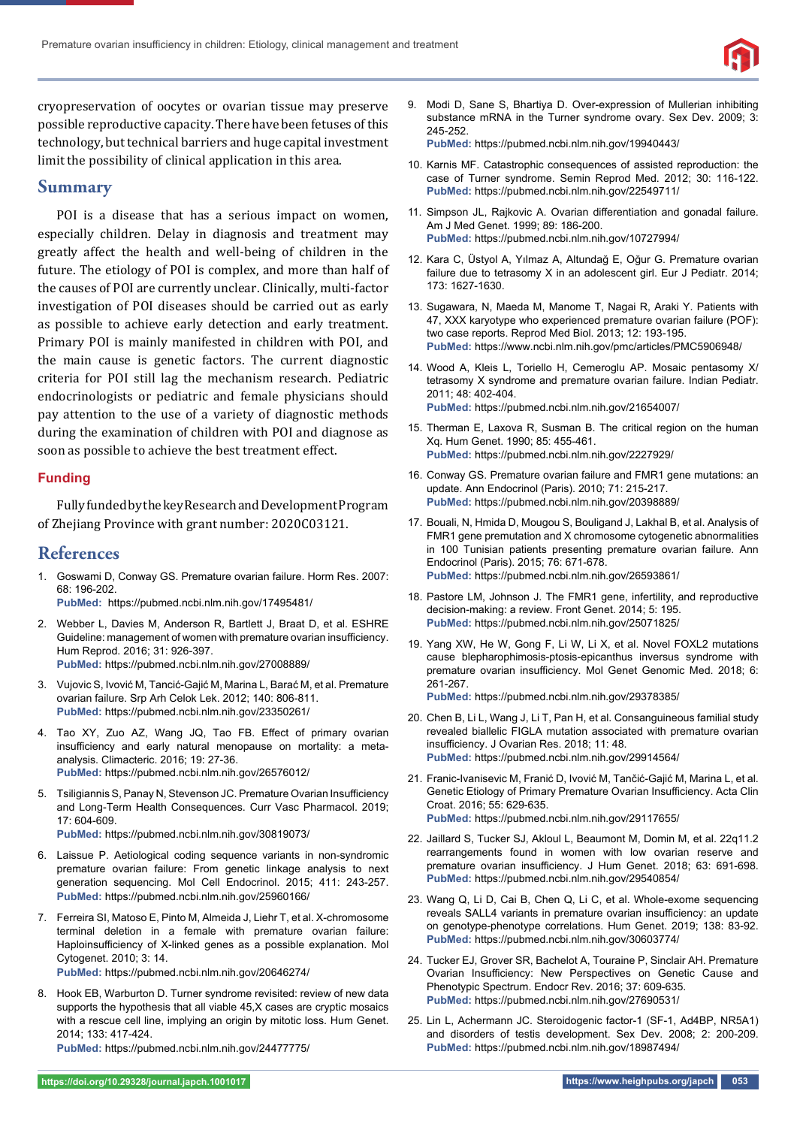

cryopreservation of oocytes or ovarian tissue may preserve possible reproductive capacity. There have been fetuses of this technology, but technical barriers and huge capital investment limit the possibility of clinical application in this area.

## **Summary**

POI is a disease that has a serious impact on women, especially children. Delay in diagnosis and treatment may greatly affect the health and well-being of children in the future. The etiology of POI is complex, and more than half of the causes of POI are currently unclear. Clinically, multi-factor investigation of POI diseases should be carried out as early as possible to achieve early detection and early treatment. Primary POI is mainly manifested in children with POI, and the main cause is genetic factors. The current diagnostic criteria for POI still lag the mechanism research. Pediatric endocrinologists or pediatric and female physicians should pay attention to the use of a variety of diagnostic methods during the examination of children with POI and diagnose as soon as possible to achieve the best treatment effect.

## **Funding**

Fully funded by the key Research and Development Program of Zhejiang Province with grant number: 2020C03121.

## **References**

- 1. Goswami D, Conway GS. Premature ovarian failure. Horm Res. 2007: 68: 196-202. **PubMed:** https://pubmed.ncbi.nlm.nih.gov/17495481/
- 2. Webber L, Davies M, Anderson R, Bartlett J, Braat D, et al. ESHRE Guideline: management of women with premature ovarian insufficiency. Hum Reprod. 2016; 31: 926-397. **PubMed:** https://pubmed.ncbi.nlm.nih.gov/27008889/
- 3. Vujovic S, Ivović M, Tancić-Gajić M, Marina L, Barać M, et al. Premature ovarian failure. Srp Arh Celok Lek. 2012; 140: 806-811. **PubMed:** https://pubmed.ncbi.nlm.nih.gov/23350261/
- 4. Tao XY, Zuo AZ, Wang JQ, Tao FB. Effect of primary ovarian insufficiency and early natural menopause on mortality: a metaanalysis. Climacteric. 2016; 19: 27-36. **PubMed:** https://pubmed.ncbi.nlm.nih.gov/26576012/
- 5. Tsiligiannis S, Panay N, Stevenson JC. Premature Ovarian Insufficiency and Long-Term Health Consequences. Curr Vasc Pharmacol. 2019; 17: 604-609. **PubMed:** https://pubmed.ncbi.nlm.nih.gov/30819073/
- 6. Laissue P. Aetiological coding sequence variants in non-syndromic premature ovarian failure: From genetic linkage analysis to next generation sequencing. Mol Cell Endocrinol. 2015; 411: 243-257. **PubMed:** https://pubmed.ncbi.nlm.nih.gov/25960166/
- 7. Ferreira SI, Matoso E, Pinto M, Almeida J, Liehr T, et al. X-chromosome terminal deletion in a female with premature ovarian failure: Haploinsufficiency of X-linked genes as a possible explanation. Mol Cytogenet. 2010; 3: 14.

**PubMed:** https://pubmed.ncbi.nlm.nih.gov/20646274/

8. Hook EB, Warburton D. Turner syndrome revisited: review of new data supports the hypothesis that all viable 45,X cases are cryptic mosaics with a rescue cell line, implying an origin by mitotic loss. Hum Genet. 2014; 133: 417-424.

**PubMed:** https://pubmed.ncbi.nlm.nih.gov/24477775/

9. Modi D, Sane S, Bhartiya D. Over-expression of Mullerian inhibiting substance mRNA in the Turner syndrome ovary. Sex Dev. 2009; 3: 245-252.

**PubMed:** https://pubmed.ncbi.nlm.nih.gov/19940443/

- 10. Karnis MF. Catastrophic consequences of assisted reproduction: the case of Turner syndrome. Semin Reprod Med. 2012; 30: 116-122. **PubMed:** https://pubmed.ncbi.nlm.nih.gov/22549711/
- 11. Simpson JL, Rajkovic A. Ovarian differentiation and gonadal failure. Am J Med Genet. 1999; 89: 186-200. **PubMed:** https://pubmed.ncbi.nlm.nih.gov/10727994/
- 12. Kara C, Üstyol A, Yılmaz A, Altundağ E, Oğur G. Premature ovarian failure due to tetrasomy X in an adolescent girl. Eur J Pediatr. 2014; 173: 1627-1630.
- 13. Sugawara, N, Maeda M, Manome T, Nagai R, Araki Y. Patients with 47, XXX karyotype who experienced premature ovarian failure (POF): two case reports. Reprod Med Biol. 2013; 12: 193-195. **PubMed:** https://www.ncbi.nlm.nih.gov/pmc/articles/PMC5906948/
- 14. Wood A, Kleis L, Toriello H, Cemeroglu AP. Mosaic pentasomy X/ tetrasomy X syndrome and premature ovarian failure. Indian Pediatr. 2011; 48: 402-404. **PubMed:** https://pubmed.ncbi.nlm.nih.gov/21654007/
- 15. Therman E, Laxova R, Susman B. The critical region on the human Xq. Hum Genet. 1990; 85: 455-461. **PubMed:** https://pubmed.ncbi.nlm.nih.gov/2227929/
- 16. Conway GS. Premature ovarian failure and FMR1 gene mutations: an update. Ann Endocrinol (Paris). 2010; 71: 215-217. **PubMed:** https://pubmed.ncbi.nlm.nih.gov/20398889/
- 17. Bouali, N, Hmida D, Mougou S, Bouligand J, Lakhal B, et al. Analysis of FMR1 gene premutation and X chromosome cytogenetic abnormalities in 100 Tunisian patients presenting premature ovarian failure. Ann Endocrinol (Paris). 2015; 76: 671-678. **PubMed:** https://pubmed.ncbi.nlm.nih.gov/26593861/
- 18. Pastore LM, Johnson J. The FMR1 gene, infertility, and reproductive decision-making: a review. Front Genet. 2014; 5: 195. **PubMed:** https://pubmed.ncbi.nlm.nih.gov/25071825/
- 19. Yang XW, He W, Gong F, Li W, Li X, et al. Novel FOXL2 mutations cause blepharophimosis-ptosis-epicanthus inversus syndrome with premature ovarian insufficiency. Mol Genet Genomic Med. 2018; 6: 261-267. **PubMed:** https://pubmed.ncbi.nlm.nih.gov/29378385/
- 20. Chen B, Li L, Wang J, Li T, Pan H, et al. Consanguineous familial study revealed biallelic FIGLA mutation associated with premature ovarian insufficiency. J Ovarian Res. 2018; 11: 48. **PubMed:** https://pubmed.ncbi.nlm.nih.gov/29914564/
- 21. Franic-Ivanisevic M, Franić D, Ivović M, Tančić-Gajić M, Marina L, et al. Genetic Etiology of Primary Premature Ovarian Insufficiency. Acta Clin Croat. 2016; 55: 629-635. **PubMed:** https://pubmed.ncbi.nlm.nih.gov/29117655/
- 22. Jaillard S, Tucker SJ, Akloul L, Beaumont M, Domin M, et al. 22q11.2 rearrangements found in women with low ovarian reserve and premature ovarian insufficiency. J Hum Genet. 2018; 63: 691-698. **PubMed:** https://pubmed.ncbi.nlm.nih.gov/29540854/
- 23. Wang Q, Li D, Cai B, Chen Q, Li C, et al. Whole-exome sequencing reveals SALL4 variants in premature ovarian insufficiency: an update on genotype-phenotype correlations. Hum Genet. 2019; 138: 83-92. **PubMed:** https://pubmed.ncbi.nlm.nih.gov/30603774/
- 24. Tucker EJ, Grover SR, Bachelot A, Touraine P, Sinclair AH. Premature Ovarian Insufficiency: New Perspectives on Genetic Cause and Phenotypic Spectrum. Endocr Rev. 2016; 37: 609-635. **PubMed:** https://pubmed.ncbi.nlm.nih.gov/27690531/
- 25. Lin L, Achermann JC. Steroidogenic factor-1 (SF-1, Ad4BP, NR5A1) and disorders of testis development. Sex Dev. 2008; 2: 200-209. **PubMed:** https://pubmed.ncbi.nlm.nih.gov/18987494/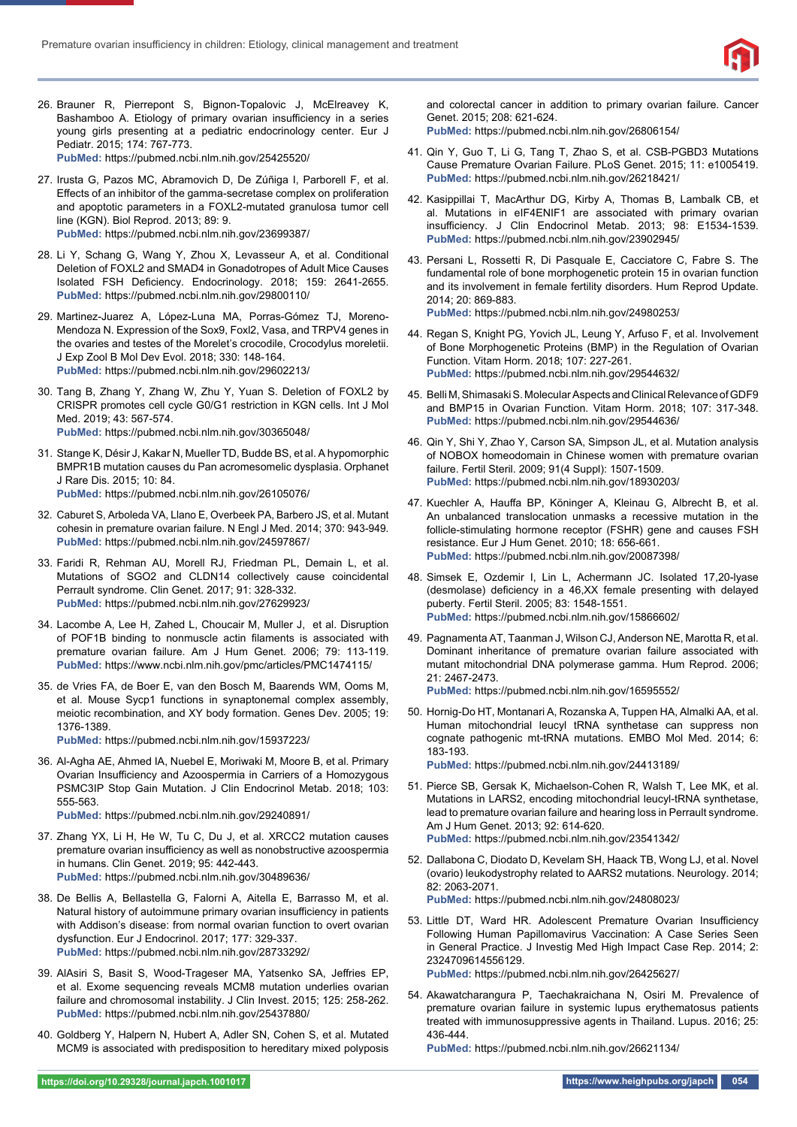

- 26. Brauner R, Pierrepont S, Bignon-Topalovic J, McElreavey K, Bashamboo A. Etiology of primary ovarian insufficiency in a series young girls presenting at a pediatric endocrinology center. Eur J Pediatr. 2015; 174: 767-773. **PubMed:** https://pubmed.ncbi.nlm.nih.gov/25425520/
- 27. Irusta G, Pazos MC, Abramovich D, De Zúñiga I, Parborell F, et al. Effects of an inhibitor of the gamma-secretase complex on proliferation and apoptotic parameters in a FOXL2-mutated granulosa tumor cell line (KGN). Biol Reprod. 2013; 89: 9. **PubMed:** https://pubmed.ncbi.nlm.nih.gov/23699387/
- 28. Li Y, Schang G, Wang Y, Zhou X, Levasseur A, et al. Conditional Deletion of FOXL2 and SMAD4 in Gonadotropes of Adult Mice Causes Isolated FSH Deficiency. Endocrinology. 2018; 159: 2641-2655. **PubMed:** https://pubmed.ncbi.nlm.nih.gov/29800110/
- 29. Martinez-Juarez A, López-Luna MA, Porras-Gómez TJ, Moreno-Mendoza N. Expression of the Sox9, Foxl2, Vasa, and TRPV4 genes in the ovaries and testes of the Morelet's crocodile, Crocodylus moreletii. J Exp Zool B Mol Dev Evol. 2018; 330: 148-164. **PubMed:** https://pubmed.ncbi.nlm.nih.gov/29602213/
- 30. Tang B, Zhang Y, Zhang W, Zhu Y, Yuan S. Deletion of FOXL2 by CRISPR promotes cell cycle G0/G1 restriction in KGN cells. Int J Mol Med. 2019; 43: 567-574. **PubMed:** https://pubmed.ncbi.nlm.nih.gov/30365048/
- 31. Stange K, Désir J, Kakar N, Mueller TD, Budde BS, et al. A hypomorphic BMPR1B mutation causes du Pan acromesomelic dysplasia. Orphanet J Rare Dis. 2015; 10: 84. **PubMed:** https://pubmed.ncbi.nlm.nih.gov/26105076/
- 32. Caburet S, Arboleda VA, Llano E, Overbeek PA, Barbero JS, et al. Mutant cohesin in premature ovarian failure. N Engl J Med. 2014; 370: 943-949. **PubMed:** https://pubmed.ncbi.nlm.nih.gov/24597867/
- 33. Faridi R, Rehman AU, Morell RJ, Friedman PL, Demain L, et al. Mutations of SGO2 and CLDN14 collectively cause coincidental Perrault syndrome. Clin Genet. 2017; 91: 328-332. **PubMed:** https://pubmed.ncbi.nlm.nih.gov/27629923/
- 34. Lacombe A, Lee H, Zahed L, Choucair M, Muller J, et al. Disruption of POF1B binding to nonmuscle actin filaments is associated with premature ovarian failure. Am J Hum Genet. 2006; 79: 113-119. **PubMed:** https://www.ncbi.nlm.nih.gov/pmc/articles/PMC1474115/
- 35. de Vries FA, de Boer E, van den Bosch M, Baarends WM, Ooms M, et al. Mouse Sycp1 functions in synaptonemal complex assembly, meiotic recombination, and XY body formation. Genes Dev. 2005; 19: 1376-1389.

**PubMed:** https://pubmed.ncbi.nlm.nih.gov/15937223/

36. Al-Agha AE, Ahmed IA, Nuebel E, Moriwaki M, Moore B, et al. Primary Ovarian Insufficiency and Azoospermia in Carriers of a Homozygous PSMC3IP Stop Gain Mutation. J Clin Endocrinol Metab. 2018; 103: 555-563.

**PubMed:** https://pubmed.ncbi.nlm.nih.gov/29240891/

- 37. Zhang YX, Li H, He W, Tu C, Du J, et al. XRCC2 mutation causes premature ovarian insufficiency as well as nonobstructive azoospermia in humans. Clin Genet. 2019; 95: 442-443. **PubMed:** https://pubmed.ncbi.nlm.nih.gov/30489636/
- 38. De Bellis A, Bellastella G, Falorni A, Aitella E, Barrasso M, et al. Natural history of autoimmune primary ovarian insufficiency in patients with Addison's disease: from normal ovarian function to overt ovarian dysfunction. Eur J Endocrinol. 2017; 177: 329-337. **PubMed:** https://pubmed.ncbi.nlm.nih.gov/28733292/
- 39. AlAsiri S, Basit S, Wood-Trageser MA, Yatsenko SA, Jeffries EP, et al. Exome sequencing reveals MCM8 mutation underlies ovarian failure and chromosomal instability. J Clin Invest. 2015; 125: 258-262. **PubMed:** https://pubmed.ncbi.nlm.nih.gov/25437880/
- 40. Goldberg Y, Halpern N, Hubert A, Adler SN, Cohen S, et al. Mutated MCM9 is associated with predisposition to hereditary mixed polyposis

and colorectal cancer in addition to primary ovarian failure. Cancer Genet. 2015; 208: 621-624.

**PubMed:** https://pubmed.ncbi.nlm.nih.gov/26806154/

- 41. Qin Y, Guo T, Li G, Tang T, Zhao S, et al. CSB-PGBD3 Mutations Cause Premature Ovarian Failure. PLoS Genet. 2015; 11: e1005419. **PubMed:** https://pubmed.ncbi.nlm.nih.gov/26218421/
- 42. Kasippillai T, MacArthur DG, Kirby A, Thomas B, Lambalk CB, et al. Mutations in eIF4ENIF1 are associated with primary ovarian insufficiency. J Clin Endocrinol Metab. 2013; 98: E1534-1539. **PubMed:** https://pubmed.ncbi.nlm.nih.gov/23902945/
- 43. Persani L, Rossetti R, Di Pasquale E, Cacciatore C, Fabre S. The fundamental role of bone morphogenetic protein 15 in ovarian function and its involvement in female fertility disorders. Hum Reprod Update. 2014; 20: 869-883. **PubMed:** https://pubmed.ncbi.nlm.nih.gov/24980253/
- 44. Regan S, Knight PG, Yovich JL, Leung Y, Arfuso F, et al. Involvement of Bone Morphogenetic Proteins (BMP) in the Regulation of Ovarian Function. Vitam Horm. 2018; 107: 227-261. **PubMed:** https://pubmed.ncbi.nlm.nih.gov/29544632/
- 45. Belli M, Shimasaki S. Molecular Aspects and Clinical Relevance of GDF9 and BMP15 in Ovarian Function. Vitam Horm. 2018; 107: 317-348. **PubMed:** https://pubmed.ncbi.nlm.nih.gov/29544636/
- 46. Qin Y, Shi Y, Zhao Y, Carson SA, Simpson JL, et al. Mutation analysis of NOBOX homeodomain in Chinese women with premature ovarian failure. Fertil Steril. 2009; 91(4 Suppl): 1507-1509. **PubMed:** https://pubmed.ncbi.nlm.nih.gov/18930203/
- 47. Kuechler A, Hauffa BP, Köninger A, Kleinau G, Albrecht B, et al. An unbalanced translocation unmasks a recessive mutation in the follicle-stimulating hormone receptor (FSHR) gene and causes FSH resistance. Eur J Hum Genet. 2010; 18: 656-661. **PubMed:** https://pubmed.ncbi.nlm.nih.gov/20087398/
- 48. Simsek E, Ozdemir I, Lin L, Achermann JC. Isolated 17,20-lyase (desmolase) deficiency in a 46,XX female presenting with delayed puberty. Fertil Steril. 2005; 83: 1548-1551. **PubMed:** https://pubmed.ncbi.nlm.nih.gov/15866602/
- 49. Pagnamenta AT, Taanman J, Wilson CJ, Anderson NE, Marotta R, et al. Dominant inheritance of premature ovarian failure associated with mutant mitochondrial DNA polymerase gamma. Hum Reprod. 2006; 21: 2467-2473. **PubMed:** https://pubmed.ncbi.nlm.nih.gov/16595552/
- 50. Hornig-Do HT, Montanari A, Rozanska A, Tuppen HA, Almalki AA, et al. Human mitochondrial leucyl tRNA synthetase can suppress non cognate pathogenic mt-tRNA mutations. EMBO Mol Med. 2014; 6: 183-193.

**PubMed:** https://pubmed.ncbi.nlm.nih.gov/24413189/

- 51. Pierce SB, Gersak K, Michaelson-Cohen R, Walsh T, Lee MK, et al. Mutations in LARS2, encoding mitochondrial leucyl-tRNA synthetase, lead to premature ovarian failure and hearing loss in Perrault syndrome. Am J Hum Genet. 2013; 92: 614-620. **PubMed:** https://pubmed.ncbi.nlm.nih.gov/23541342/
- 52. Dallabona C, Diodato D, Kevelam SH, Haack TB, Wong LJ, et al. Novel (ovario) leukodystrophy related to AARS2 mutations. Neurology. 2014; 82: 2063-2071. **PubMed:** https://pubmed.ncbi.nlm.nih.gov/24808023/
- 53. Little DT, Ward HR. Adolescent Premature Ovarian Insufficiency Following Human Papillomavirus Vaccination: A Case Series Seen in General Practice. J Investig Med High Impact Case Rep. 2014; 2: 2324709614556129.

**PubMed:** https://pubmed.ncbi.nlm.nih.gov/26425627/

54. Akawatcharangura P, Taechakraichana N, Osiri M. Prevalence of premature ovarian failure in systemic lupus erythematosus patients treated with immunosuppressive agents in Thailand. Lupus. 2016; 25: 436-444.

**PubMed:** https://pubmed.ncbi.nlm.nih.gov/26621134/